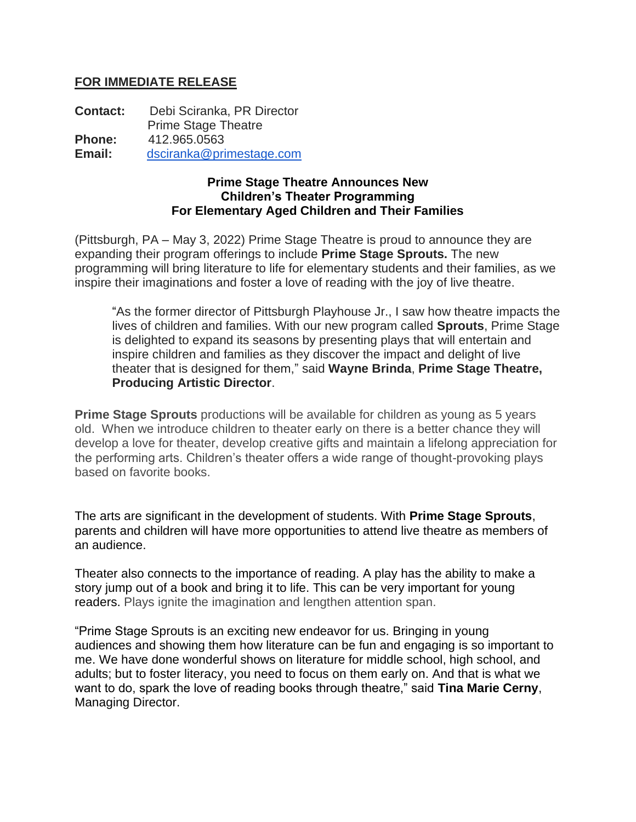## **FOR IMMEDIATE RELEASE**

**Contact:** Debi Sciranka, PR Director Prime Stage Theatre **Phone:** 412.965.0563 **Email:** [dsciranka@primestage.com](mailto:dsciranka@primestage.com)

## **Prime Stage Theatre Announces New Children's Theater Programming For Elementary Aged Children and Their Families**

(Pittsburgh, PA – May 3, 2022) Prime Stage Theatre is proud to announce they are expanding their program offerings to include **Prime Stage Sprouts.** The new programming will bring literature to life for elementary students and their families, as we inspire their imaginations and foster a love of reading with the joy of live theatre.

"As the former director of Pittsburgh Playhouse Jr., I saw how theatre impacts the lives of children and families. With our new program called **Sprouts**, Prime Stage is delighted to expand its seasons by presenting plays that will entertain and inspire children and families as they discover the impact and delight of live theater that is designed for them," said **Wayne Brinda**, **Prime Stage Theatre, Producing Artistic Director**.

**Prime Stage Sprouts** productions will be available for children as young as 5 years old. When we introduce children to theater early on there is a better chance they will develop a love for theater, develop creative gifts and maintain a lifelong appreciation for the performing arts. Children's theater offers a wide range of thought-provoking plays based on favorite books.

The arts are significant in the development of students. With **Prime Stage Sprouts**, parents and children will have more opportunities to attend live theatre as members of an audience.

Theater also connects to the importance of reading. A play has the ability to make a story jump out of a book and bring it to life. This can be very important for young readers. Plays ignite the imagination and lengthen attention span.

"Prime Stage Sprouts is an exciting new endeavor for us. Bringing in young audiences and showing them how literature can be fun and engaging is so important to me. We have done wonderful shows on literature for middle school, high school, and adults; but to foster literacy, you need to focus on them early on. And that is what we want to do, spark the love of reading books through theatre," said **Tina Marie Cerny**, Managing Director.